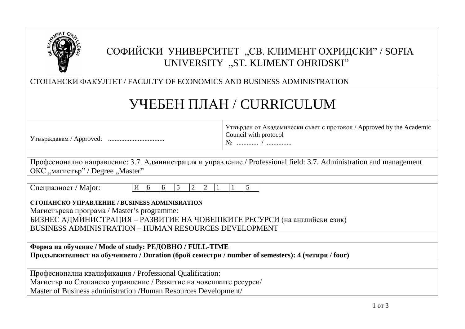

# СОФИЙСКИ УНИВЕРСИТЕТ "СВ. КЛИМЕНТ ОХРИДСКИ" / SOFIA UNIVERSITY "ST. KLIMENT OHRIDSKI"

СТОПАНСКИ ФАКУЛТЕТ / FACULTY OF ECONOMICS AND BUSINESS ADMINISTRATION

# УЧЕБЕН ПЛАН / CURRICULUM

| Утвърждавам / Approved: |  |
|-------------------------|--|
|                         |  |

Утвърден от Академически съвет с протокол / Approved by the Academic Council with protocol

№ ............. / ...............

| Професионално направление: 3.7. Администрация и управление / Professional field: 3.7. Administration and management |  |
|---------------------------------------------------------------------------------------------------------------------|--|
| ОКС "магистър" / Degree "Master"                                                                                    |  |

| Специалност / Мајог: |  |  |  |
|----------------------|--|--|--|
|----------------------|--|--|--|

| И | -- | . .<br>$\overline{\phantom{0}}$ |  | $\overline{\phantom{0}}$ |  |  |  |  |
|---|----|---------------------------------|--|--------------------------|--|--|--|--|
|---|----|---------------------------------|--|--------------------------|--|--|--|--|

**СТОПАНСКО УПРАВЛЕНИЕ / BUSINESS ADMINISRATION**

Магистърска програма / Master's programme: БИЗНЕС АДМИНИСТРАЦИЯ – РАЗВИТИЕ НА ЧОВЕШКИТЕ РЕСУРСИ (на английски език)

BUSINESS ADMINISTRATION – HUMAN RESOURCES DEVELOPMENT

**Форма на обучение / Mode of study: РЕДОВНО / FULL-TIME Продължителност на обучението / Duration (брой семестри / number of semesters): 4 (четири / four)**

Професионална квалификация / Professional Qualification:

Магистър по Стопанско управление / Развитие на човешките ресурси/

Master of Business administration /Human Resources Development/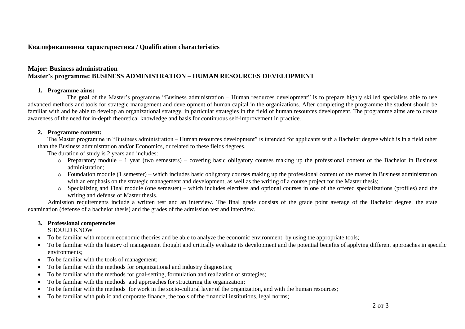## **Квалификационна характеристика / Qualification characteristics**

# **Major: Business administration Master's programme: BUSINESS ADMINISTRATION – HUMAN RESOURCES DEVELOPMENT**

#### **1. Programme aims:**

The **goal** of the Master's programme "Business administration – Human resources development" is to prepare highly skilled specialists able to use advanced methods and tools for strategic management and development of human capital in the organizations. After completing the programme the student should be familiar with and be able to develop an organizational strategy, in particular strategies in the field of human resources development. The programme aims are to create awareness of the need for in-depth theoretical knowledge and basis for continuous self-improvement in practice.

#### **2. Programme content:**

The Master programme in "Business administration – Human resources development" is intended for applicants with a Bachelor degree which is in a field other than the Business administration and/or Economics, or related to these fields degrees.

The duration of study is 2 years and includes:

- o Preparatory module 1 year (two semesters) covering basic obligatory courses making up the professional content of the Bachelor in Business administration;
- $\circ$  Foundation module (1 semester) which includes basic obligatory courses making up the professional content of the master in Business administration with an emphasis on the strategic management and development, as well as the writing of a course project for the Master thesis;
- o Specializing and Final module (one semester) which includes electives and optional courses in one of the offered specializations (profiles) and the writing and defense of Master thesis.

Admission requirements include a written test and an interview. The final grade consists of the grade point average of the Bachelor degree, the state examination (defense of a bachelor thesis) and the grades of the admission test and interview.

### **3. Professional competencies**

SHOULD KNOW

- To be familiar with modern economic theories and be able to analyze the economic environment by using the appropriate tools;
- To be familiar with the history of management thought and critically evaluate its development and the potential benefits of applying different approaches in specific environments;
- To be familiar with the tools of management;
- To be familiar with the methods for organizational and industry diagnostics;
- To be familiar with the methods for goal-setting, formulation and realization of strategies:
- To be familiar with the methods and approaches for structuring the organization;
- To be familiar with the methods for work in the socio-cultural layer of the organization, and with the human resources;
- To be familiar with public and corporate finance, the tools of the financial institutions, legal norms;